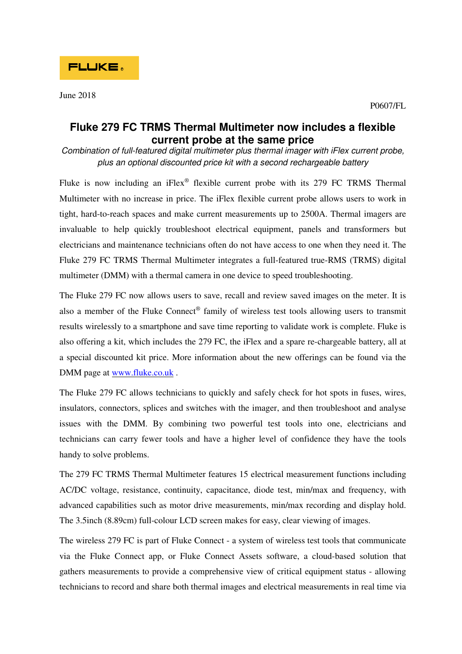## **Fluke 279 FC TRMS Thermal Multimeter now includes a flexible current probe at the same price**

Combination of full-featured digital multimeter plus thermal imager with iFlex current probe, plus an optional discounted price kit with a second rechargeable battery

Fluke is now including an iFlex® flexible current probe with its  $279$  FC TRMS Thermal Multimeter with no increase in price. The iFlex flexible current probe allows users to work in tight, hard-to-reach spaces and make current measurements up to 2500A. Thermal imagers are invaluable to help quickly troubleshoot electrical equipment, panels and transformers but electricians and maintenance technicians often do not have access to one when they need it. The Fluke 279 FC TRMS Thermal Multimeter integrates a full-featured true-RMS (TRMS) digital multimeter (DMM) with a thermal camera in one device to speed troubleshooting.

The Fluke 279 FC now allows users to save, recall and review saved images on the meter. It is also a member of the Fluke Connect® family of wireless test tools allowing users to transmit results wirelessly to a smartphone and save time reporting to validate work is complete. Fluke is also offering a kit, which includes the 279 FC, the iFlex and a spare re-chargeable battery, all at a special discounted kit price. More information about the new offerings can be found via the DMM page at www.fluke.co.uk .

The Fluke 279 FC allows technicians to quickly and safely check for hot spots in fuses, wires, insulators, connectors, splices and switches with the imager, and then troubleshoot and analyse issues with the DMM. By combining two powerful test tools into one, electricians and technicians can carry fewer tools and have a higher level of confidence they have the tools handy to solve problems.

The 279 FC TRMS Thermal Multimeter features 15 electrical measurement functions including AC/DC voltage, resistance, continuity, capacitance, diode test, min/max and frequency, with advanced capabilities such as motor drive measurements, min/max recording and display hold. The 3.5inch (8.89cm) full-colour LCD screen makes for easy, clear viewing of images.

The wireless 279 FC is part of Fluke Connect - a system of wireless test tools that communicate via the Fluke Connect app, or Fluke Connect Assets software, a cloud-based solution that gathers measurements to provide a comprehensive view of critical equipment status - allowing technicians to record and share both thermal images and electrical measurements in real time via